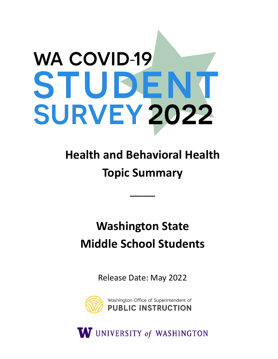# **WA COVID-19** STUDENT **SURVEY 2022**

# **Health and Behavioral Health Topic Summary**

\_\_\_\_

## **Washington State Middle School Students**

Release Date: May 2022



W UNIVERSITY of WASHINGTON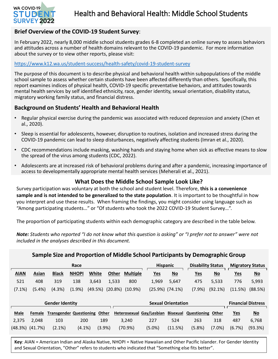

## Health and Behavioral Health: Middle School Students

## **Brief Overview of the COVID-19 Student Survey**:

In February 2022, nearly 8,000 middle school students grades 6-8 completed an online survey to assess behaviors and attitudes across a number of health domains relevant to the COVID-19 pandemic. For more information about the survey or to view other reports, please visit:

## <https://www.k12.wa.us/student-success/health-safety/covid-19-student-survey>

The purpose of this document is to describe physical and behavioral health within subpopulations of the middle school sample to assess whether certain students have been affected differently than others. Specifically, this report examines indices of physical health, COVID-19 specific preventative behaviors, and attitudes towards mental health services by self identified ethnicity, race, gender identity, sexual orientation, disability status, migratory working family status, and financial distress.

## **Background on Students' Health and Behavioral Health**

- Regular physical exercise during the pandemic was associated with reduced depression and anxiety (Chen et al., 2020).
- Sleep is essential for adolescents, however, disruption to routines, isolation and increased stress during the COVID-19 pandemic can lead to sleep disturbances, negatively affecting students (Imran et al., 2020).
- CDC recommendations include masking, washing hands and staying home when sick as effective means to slow the spread of the virus among students (CDC, 2022).
- Adolescents are at increased risk of behavioral problems during and after a pandemic, increasing importance of access to developmentally appropriate mental health services (Meherali et al., 2021).

## **What Does the Middle School Sample Look Like?**

Survey participation was voluntary at both the school and student level. Therefore, **this is a convenience sample and is not intended to be generalized to the state population**. It is important to be thoughtful in how you interpret and use these results. When framing the findings, you might consider using language such as "Among participating students…" or "Of students who took the 2022 COVID-19 Student Survey…".

The proportion of participating students within each demographic category are described in the table below.

*Note: Students who reported "I do not know what this question is asking" or "I prefer not to answer" were not included in the analyses described in this document.* 

| Sample Size and Proportion of Middle School Participants by Demographic Group |                       |                                |              |              |              |                       |                           |                          |                           |                           |                           |                         |                           |
|-------------------------------------------------------------------------------|-----------------------|--------------------------------|--------------|--------------|--------------|-----------------------|---------------------------|--------------------------|---------------------------|---------------------------|---------------------------|-------------------------|---------------------------|
|                                                                               | Race                  |                                |              |              |              |                       |                           | <b>Hispanic</b>          |                           | <b>Disability Status</b>  |                           | <b>Migratory Status</b> |                           |
| <b>AIAN</b>                                                                   | Asian                 | <b>Black</b>                   | <b>NHOPI</b> | <b>White</b> | <b>Other</b> | <b>Multiple</b>       |                           | <u>Yes</u>               | $\underline{\mathsf{No}}$ | <u>Yes</u>                | $\underline{\mathsf{No}}$ | <u>Yes</u>              | $\underline{\mathsf{No}}$ |
| 521                                                                           | 408                   | 319                            | 138          | 3,643        | 1,533        | 800                   |                           | 1,969                    | 5,647                     | 475                       | 5,533                     | 776                     | 5,993                     |
| $(7.1\%)$                                                                     | (5.4% )               | (4.3%)                         | (1.9%        | (49.5%)      |              | $(20.8\%)$ $(10.9\%)$ |                           | $(25.9\%)$ $(74.1\%)$    |                           | (7.9%                     | (92.1%)                   | (11.5%)                 | (88.5%)                   |
|                                                                               |                       |                                |              |              |              |                       |                           |                          |                           |                           |                           |                         |                           |
| <b>Gender Identity</b>                                                        |                       |                                |              |              |              |                       | <b>Sexual Orientation</b> |                          |                           | <b>Financial Distress</b> |                           |                         |                           |
| <b>Male</b>                                                                   | Female                | <b>Transgender Questioning</b> |              | Other        |              |                       |                           | Heterosexual Gay/Lesbian | <b>Bisexual</b>           | Questioning               | Other                     | <b>Yes</b>              | $\underline{\mathsf{No}}$ |
| 2,375                                                                         | 2.048                 | 103                            | 200          | 189          |              | 3.240                 |                           | 227                      | 524                       | 263                       | 318                       | 487                     | 6,768                     |
|                                                                               | $(48.3\%)$ $(41.7\%)$ | $(2.1\%)$                      | $(4.1\%)$    | (3.9%)       |              | (70.9%)               |                           | $(5.0\%)$                | (11.5%)                   | (5.8%)                    | $(7.0\%)$                 | (6.7%)                  | (93.3%)                   |

**Key**: AIAN = American Indian and Alaska Native, NHOPI = Native Hawaiian and Other Pacific Islander. For Gender Identity and Sexual Orientation, "Other" refers to students who indicated that "Something else fits better".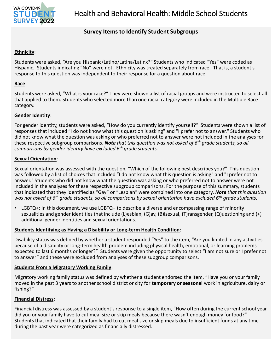

## **Survey Items to Identify Student Subgroups**

## **Ethnicity**:

Students were asked, "Are you Hispanic/Latino/Latina/Latinx?" Students who indicated "Yes" were coded as Hispanic. Students indicating "No" were not. Ethnicity was treated separately from race. That is, a student's response to this question was independent to their response for a question about race.

## **Race**:

Students were asked, "What is your race?" They were shown a list of racial groups and were instructed to select all that applied to them. Students who selected more than one racial category were included in the Multiple Race category.

## **Gender Identity**:

For gender identity, students were asked, "How do you currently identify yourself?" Students were shown a list of responses that included "I do not know what this question is asking" and "I prefer not to answer." Students who did not know what the question was asking or who preferred not to answer were not included in the analyses for these respective subgroup comparisons. *Note that this question was not asked of 6th grade students, so all comparisons by gender identity have excluded 6th grade students.* 

## **Sexual Orientation**:

Sexual orientation was assessed with the question, "Which of the following best describes you?" This question was followed by a list of choices that included "I do not know what this question is asking" and "I prefer not to answer." Students who did not know what the question was asking or who preferred not to answer were not included in the analyses for these respective subgroup comparisons. For the purpose of this summary, students that indicated that they identified as "Gay" or "Lesbian" were combined into one category. *Note that this question was not asked of 6th grade students, so all comparisons by sexual orientation have excluded 6th grade students.* 

 $LGBTQ+$ : In this document, we use  $LGBTQ+$  to describe a diverse and encompassing range of minority sexualities and gender identities that include (L)esbian, (G)ay, (B)isexual, (T)ransgender, (Q)uestioning and (+) additional gender identities and sexual orientations.

## **Students Identifying as Having a Disability or Long-term Health Condition**:

Disability status was defined by whether a student responded "Yes" to the item, "Are you limited in any activities because of a disability or long-term health problem including physical health, emotional, or learning problems expected to last 6 months or longer?" Students were given the opportunity to select "I am not sure or I prefer not to answer" and these were excluded from analyses of these subgroup comparisons.

## **Students From a Migratory Working Family**:

Migratory working family status was defined by whether a student endorsed the item, "Have you or your family moved in the past 3 years to another school district or city for **temporary or seasonal** work in agriculture, dairy or fishing?"

## **Financial Distress**:

Financial distress was assessed by a student's response to a single item, "How often during the current school year did you or your family have to cut meal size or skip meals because there wasn't enough money for food?" Students that indicated that their family had to cut meal size or skip meals due to insufficient funds at any time during the past year were categorized as financially distressed.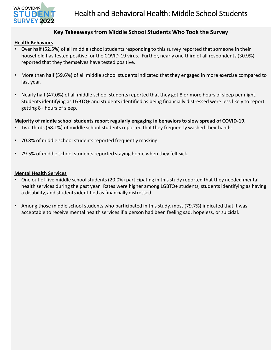

## **Key Takeaways from Middle School Students Who Took the Survey**

#### **Health Behaviors**

- Over half (52.5%) of all middle school students responding to this survey reported that someone in their household has tested positive for the COVID-19 virus. Further, nearly one third of all respondents (30.9%) reported that they themselves have tested positive.
- More than half (59.6%) of all middle school students indicated that they engaged in more exercise compared to last year.
- Nearly half (47.0%) of all middle school students reported that they got 8 or more hours of sleep per night. Students identifying as LGBTQ+ and students identified as being financially distressed were less likely to report getting 8+ hours of sleep.

## **Majority of middle school students report regularly engaging in behaviors to slow spread of COVID-19**.

- Two thirds (68.1%) of middle school students reported that they frequently washed their hands.
- 70.8% of middle school students reported frequently masking.
- 79.5% of middle school students reported staying home when they felt sick.

#### **Mental Health Services**

- One out of five middle school students (20.0%) participating in this study reported that they needed mental health services during the past year. Rates were higher among LGBTQ+ students, students identifying as having a disability, and students identified as financially distressed .
- Among those middle school students who participated in this study, most (79.7%) indicated that it was acceptable to receive mental health services if a person had been feeling sad, hopeless, or suicidal.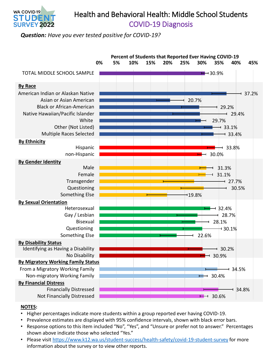

## Health and Behavioral Health: Middle School Students COVID-19 Diagnosis

*Question: Have you ever tested positive for COVID-19?* 



- Higher percentages indicate more students within a group reported ever having COVID-19.
- Prevalence estimates are displayed with 95% confidence intervals, shown with black error bars.
- Response options to this item included "No", "Yes", and "Unsure or prefer not to answer." Percentages shown above indicate those who selected "Yes."
- Please visit <https://www.k12.wa.us/student-success/health-safety/covid-19-student-survey>for more information about the survey or to view other reports.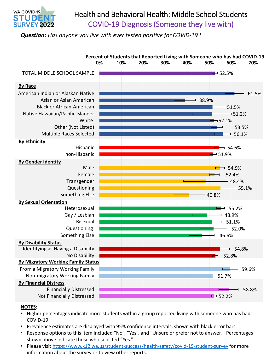

## Health and Behavioral Health: Middle School Students COVID-19 Diagnosis (Someone they live with)

*Question: Has anyone you live with ever tested positive for COVID-19?* 



- Higher percentages indicate more students within a group reported living with someone who has had COVID-19.
- Prevalence estimates are displayed with 95% confidence intervals, shown with black error bars.
- Response options to this item included "No", "Yes", and "Unsure or prefer not to answer." Percentages shown above indicate those who selected "Yes."
- Please visit <https://www.k12.wa.us/student-success/health-safety/covid-19-student-survey>for more information about the survey or to view other reports.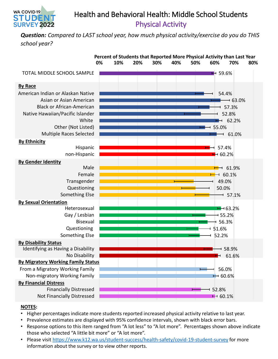## Health and Behavioral Health: Middle School Students Physical Activity

*Question: Compared to LAST school year, how much physical activity/exercise do you do THIS school year?* 



## **NOTES:**

WA COVID-19 STUDEI **SURVEY 2022** 

- Higher percentages indicate more students reported increased physical activity relative to last year.
- Prevalence estimates are displayed with 95% confidence intervals, shown with black error bars.
- Response options to this item ranged from "A lot less" to "A lot more". Percentages shown above indicate those who selected "A little bit more" or "A lot more".
- Please visit <https://www.k12.wa.us/student-success/health-safety/covid-19-student-survey>for more information about the survey or to view other reports.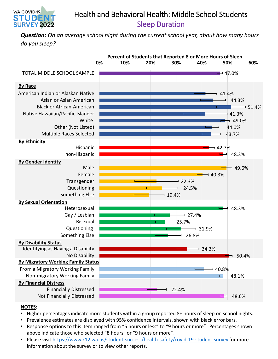

## Health and Behavioral Health: Middle School Students Sleep Duration

*Question: On an average school night during the current school year, about how many hours do you sleep?* 



- Higher percentages indicate more students within a group reported 8+ hours of sleep on school nights.
- Prevalence estimates are displayed with 95% confidence intervals, shown with black error bars.
- Response options to this item ranged from "5 hours or less" to "9 hours or more". Percentages shown above indicate those who selected "8 hours" or "9 hours or more".
- Please visit <https://www.k12.wa.us/student-success/health-safety/covid-19-student-survey>for more information about the survey or to view other reports.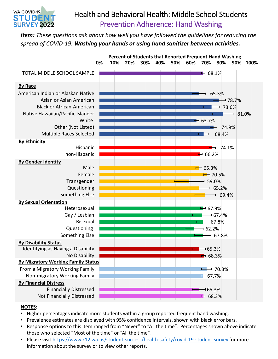

## Health and Behavioral Health: Middle School Students Prevention Adherence: Hand Washing

*Item: These questions ask about how well you have followed the guidelines for reducing the spread of COVID-19: Washing your hands or using hand sanitizer between activities.* 



- Higher percentages indicate more students within a group reported frequent hand washing.
- Prevalence estimates are displayed with 95% confidence intervals, shown with black error bars.
- Response options to this item ranged from "Never" to "All the time". Percentages shown above indicate those who selected "Most of the time" or "All the time".
- Please visit <https://www.k12.wa.us/student-success/health-safety/covid-19-student-survey>for more information about the survey or to view other reports.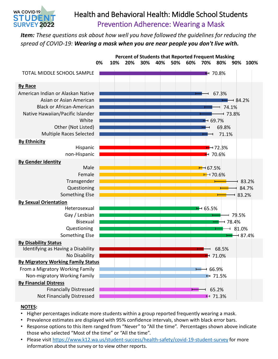

## Health and Behavioral Health: Middle School Students Prevention Adherence: Wearing a Mask

*Item: These questions ask about how well you have followed the guidelines for reducing the spread of COVID-19: Wearing a mask when you are near people you don't live with.* 



- Higher percentages indicate more students within a group reported frequently wearing a mask.
- Prevalence estimates are displayed with 95% confidence intervals, shown with black error bars.
- Response options to this item ranged from "Never" to "All the time". Percentages shown above indicate those who selected "Most of the time" or "All the time".
- Please visit <https://www.k12.wa.us/student-success/health-safety/covid-19-student-survey>for more information about the survey or to view other reports.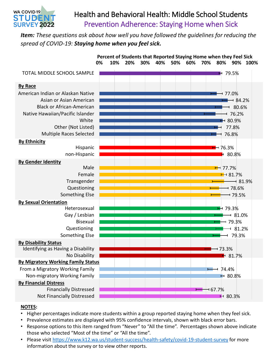

## Health and Behavioral Health: Middle School Students Prevention Adherence: Staying Home when Sick

*Item: These questions ask about how well you have followed the guidelines for reducing the spread of COVID-19: Staying home when you feel sick.* 



- Higher percentages indicate more students within a group reported staying home when they feel sick.
- Prevalence estimates are displayed with 95% confidence intervals, shown with black error bars.
- Response options to this item ranged from "Never" to "All the time". Percentages shown above indicate those who selected "Most of the time" or "All the time".
- Please visit <https://www.k12.wa.us/student-success/health-safety/covid-19-student-survey>for more information about the survey or to view other reports.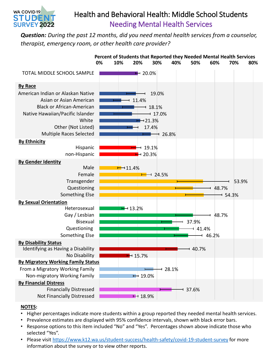

## Health and Behavioral Health: Middle School Students Needing Mental Health Services

*Question: During the past 12 months, did you need mental health services from a counselor, therapist, emergency room, or other health care provider?* 



- Higher percentages indicate more students within a group reported they needed mental health services.
- Prevalence estimates are displayed with 95% confidence intervals, shown with black error bars.
- Response options to this item included "No" and "Yes". Percentages shown above indicate those who selected "Yes".
- Please visit <https://www.k12.wa.us/student-success/health-safety/covid-19-student-survey>for more information about the survey or to view other reports.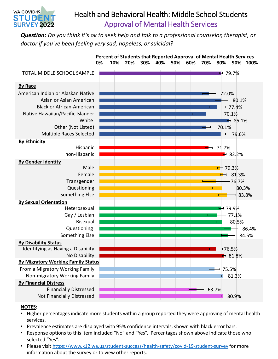

## Health and Behavioral Health: Middle School Students Approval of Mental Health Services

*Question: Do you think it's ok to seek help and talk to a professional counselor, therapist, or doctor if you've been feeling very sad, hopeless, or suicidal?* 



- Higher percentages indicate more students within a group reported they were approving of mental health services.
- Prevalence estimates are displayed with 95% confidence intervals, shown with black error bars.
- Response options to this item included "No" and "Yes". Percentages shown above indicate those who selected "Yes".
- Please visit <https://www.k12.wa.us/student-success/health-safety/covid-19-student-survey>for more information about the survey or to view other reports.